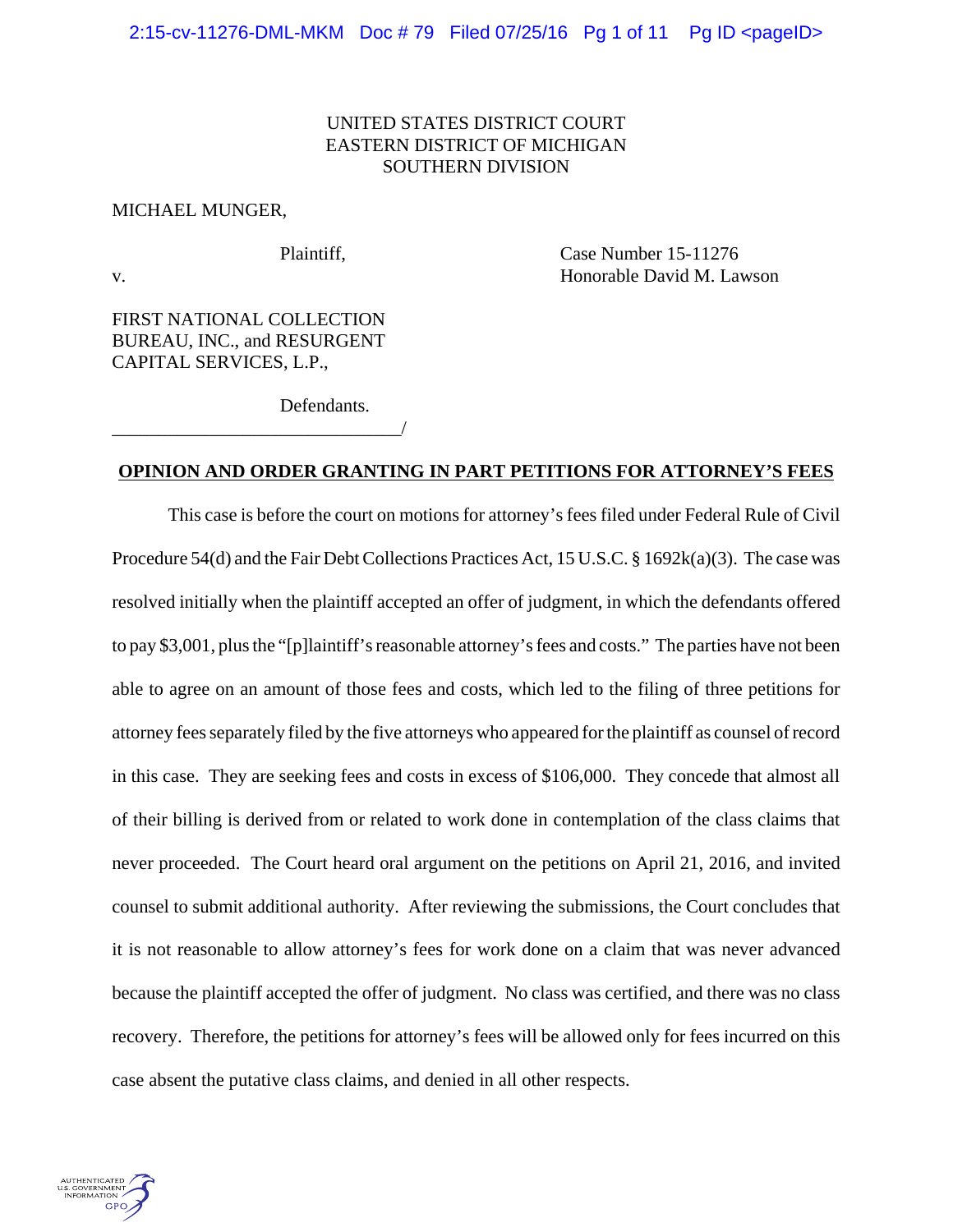# UNITED STATES DISTRICT COURT EASTERN DISTRICT OF MICHIGAN SOUTHERN DIVISION

### MICHAEL MUNGER,

Plaintiff, Case Number 15-11276 v. Honorable David M. Lawson

FIRST NATIONAL COLLECTION BUREAU, INC., and RESURGENT CAPITAL SERVICES, L.P.,

\_\_\_\_\_\_\_\_\_\_\_\_\_\_\_\_\_\_\_\_\_\_\_\_\_\_\_\_\_\_\_/

Defendants.

# **OPINION AND ORDER GRANTING IN PART PETITIONS FOR ATTORNEY'S FEES**

This case is before the court on motions for attorney's fees filed under Federal Rule of Civil Procedure 54(d) and the Fair Debt Collections Practices Act, 15 U.S.C. § 1692k(a)(3). The case was resolved initially when the plaintiff accepted an offer of judgment, in which the defendants offered to pay \$3,001, plus the "[p]laintiff's reasonable attorney's fees and costs." The parties have not been able to agree on an amount of those fees and costs, which led to the filing of three petitions for attorney fees separately filed by the five attorneys who appeared for the plaintiff as counsel of record in this case. They are seeking fees and costs in excess of \$106,000. They concede that almost all of their billing is derived from or related to work done in contemplation of the class claims that never proceeded. The Court heard oral argument on the petitions on April 21, 2016, and invited counsel to submit additional authority. After reviewing the submissions, the Court concludes that it is not reasonable to allow attorney's fees for work done on a claim that was never advanced because the plaintiff accepted the offer of judgment. No class was certified, and there was no class recovery. Therefore, the petitions for attorney's fees will be allowed only for fees incurred on this case absent the putative class claims, and denied in all other respects.

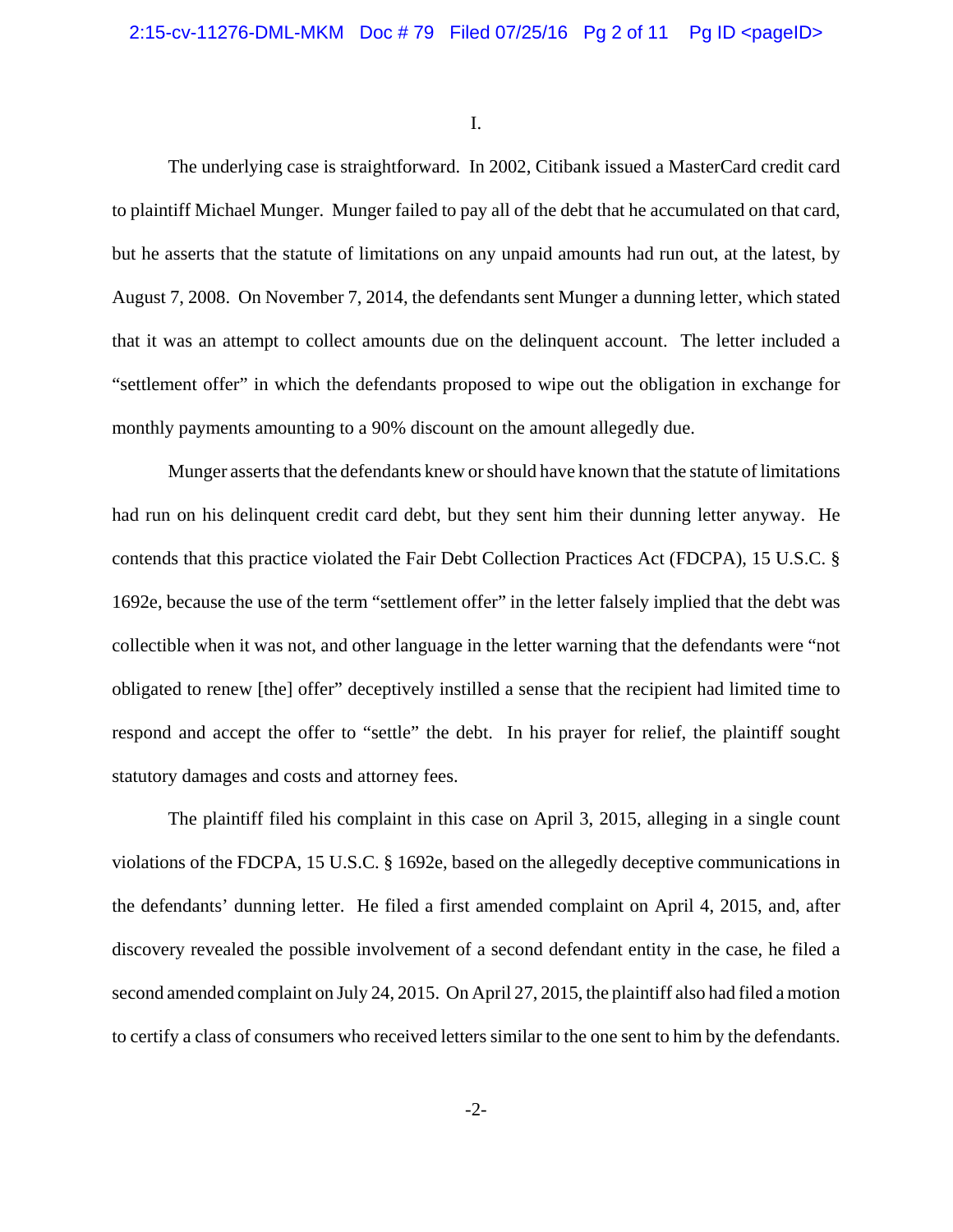I.

The underlying case is straightforward. In 2002, Citibank issued a MasterCard credit card to plaintiff Michael Munger. Munger failed to pay all of the debt that he accumulated on that card, but he asserts that the statute of limitations on any unpaid amounts had run out, at the latest, by August 7, 2008. On November 7, 2014, the defendants sent Munger a dunning letter, which stated that it was an attempt to collect amounts due on the delinquent account. The letter included a "settlement offer" in which the defendants proposed to wipe out the obligation in exchange for monthly payments amounting to a 90% discount on the amount allegedly due.

Munger asserts that the defendants knew or should have known that the statute of limitations had run on his delinquent credit card debt, but they sent him their dunning letter anyway. He contends that this practice violated the Fair Debt Collection Practices Act (FDCPA), 15 U.S.C. § 1692e, because the use of the term "settlement offer" in the letter falsely implied that the debt was collectible when it was not, and other language in the letter warning that the defendants were "not obligated to renew [the] offer" deceptively instilled a sense that the recipient had limited time to respond and accept the offer to "settle" the debt. In his prayer for relief, the plaintiff sought statutory damages and costs and attorney fees.

The plaintiff filed his complaint in this case on April 3, 2015, alleging in a single count violations of the FDCPA, 15 U.S.C. § 1692e, based on the allegedly deceptive communications in the defendants' dunning letter. He filed a first amended complaint on April 4, 2015, and, after discovery revealed the possible involvement of a second defendant entity in the case, he filed a second amended complaint on July 24, 2015. On April 27, 2015, the plaintiff also had filed a motion to certify a class of consumers who received letters similar to the one sent to him by the defendants.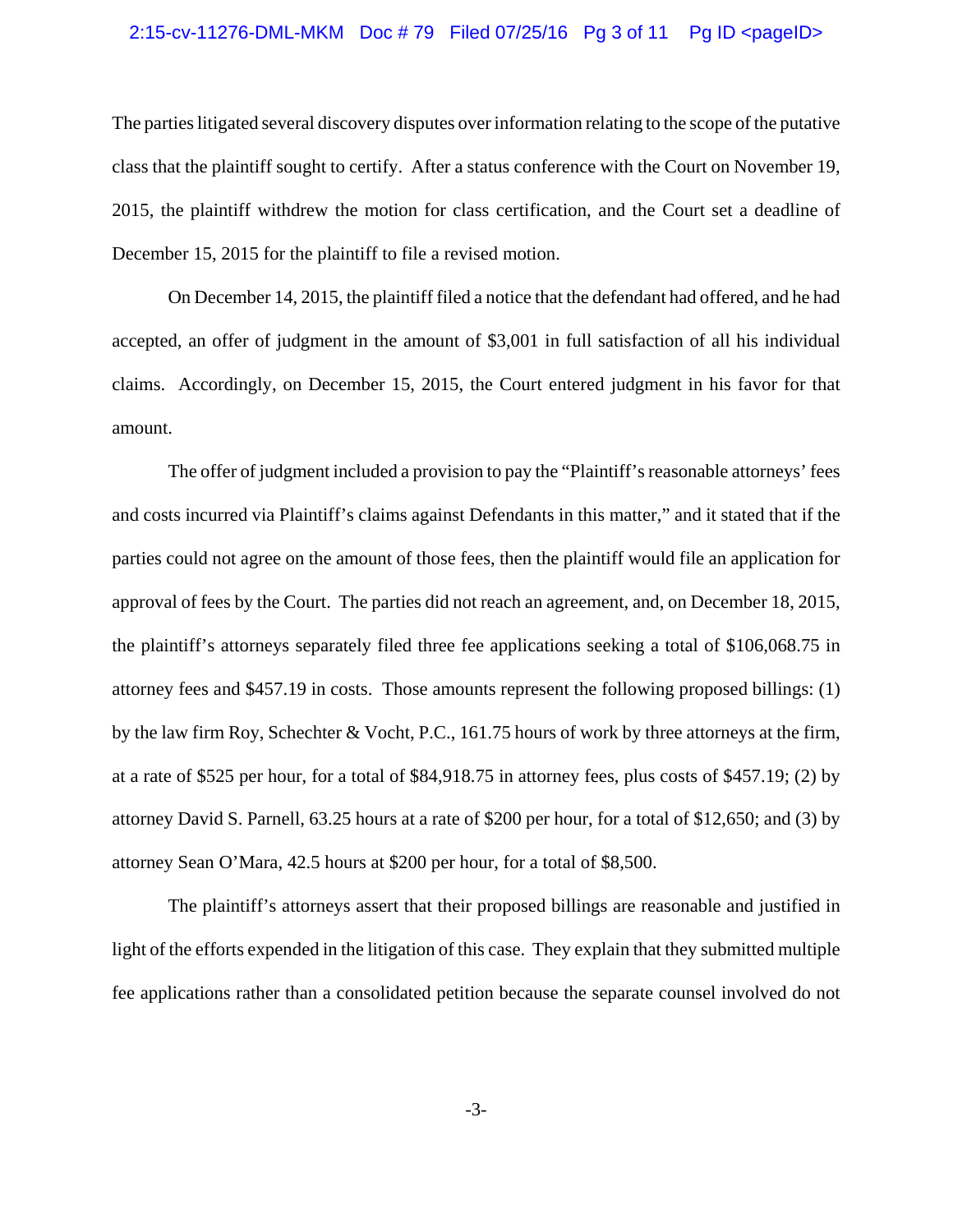#### 2:15-cv-11276-DML-MKM Doc # 79 Filed 07/25/16 Pg 3 of 11 Pg ID <pageID>

The parties litigated several discovery disputes over information relating to the scope of the putative class that the plaintiff sought to certify. After a status conference with the Court on November 19, 2015, the plaintiff withdrew the motion for class certification, and the Court set a deadline of December 15, 2015 for the plaintiff to file a revised motion.

On December 14, 2015, the plaintiff filed a notice that the defendant had offered, and he had accepted, an offer of judgment in the amount of \$3,001 in full satisfaction of all his individual claims. Accordingly, on December 15, 2015, the Court entered judgment in his favor for that amount.

The offer of judgment included a provision to pay the "Plaintiff's reasonable attorneys' fees and costs incurred via Plaintiff's claims against Defendants in this matter," and it stated that if the parties could not agree on the amount of those fees, then the plaintiff would file an application for approval of fees by the Court. The parties did not reach an agreement, and, on December 18, 2015, the plaintiff's attorneys separately filed three fee applications seeking a total of \$106,068.75 in attorney fees and \$457.19 in costs. Those amounts represent the following proposed billings: (1) by the law firm Roy, Schechter & Vocht, P.C., 161.75 hours of work by three attorneys at the firm, at a rate of \$525 per hour, for a total of \$84,918.75 in attorney fees, plus costs of \$457.19; (2) by attorney David S. Parnell, 63.25 hours at a rate of \$200 per hour, for a total of \$12,650; and (3) by attorney Sean O'Mara, 42.5 hours at \$200 per hour, for a total of \$8,500.

The plaintiff's attorneys assert that their proposed billings are reasonable and justified in light of the efforts expended in the litigation of this case. They explain that they submitted multiple fee applications rather than a consolidated petition because the separate counsel involved do not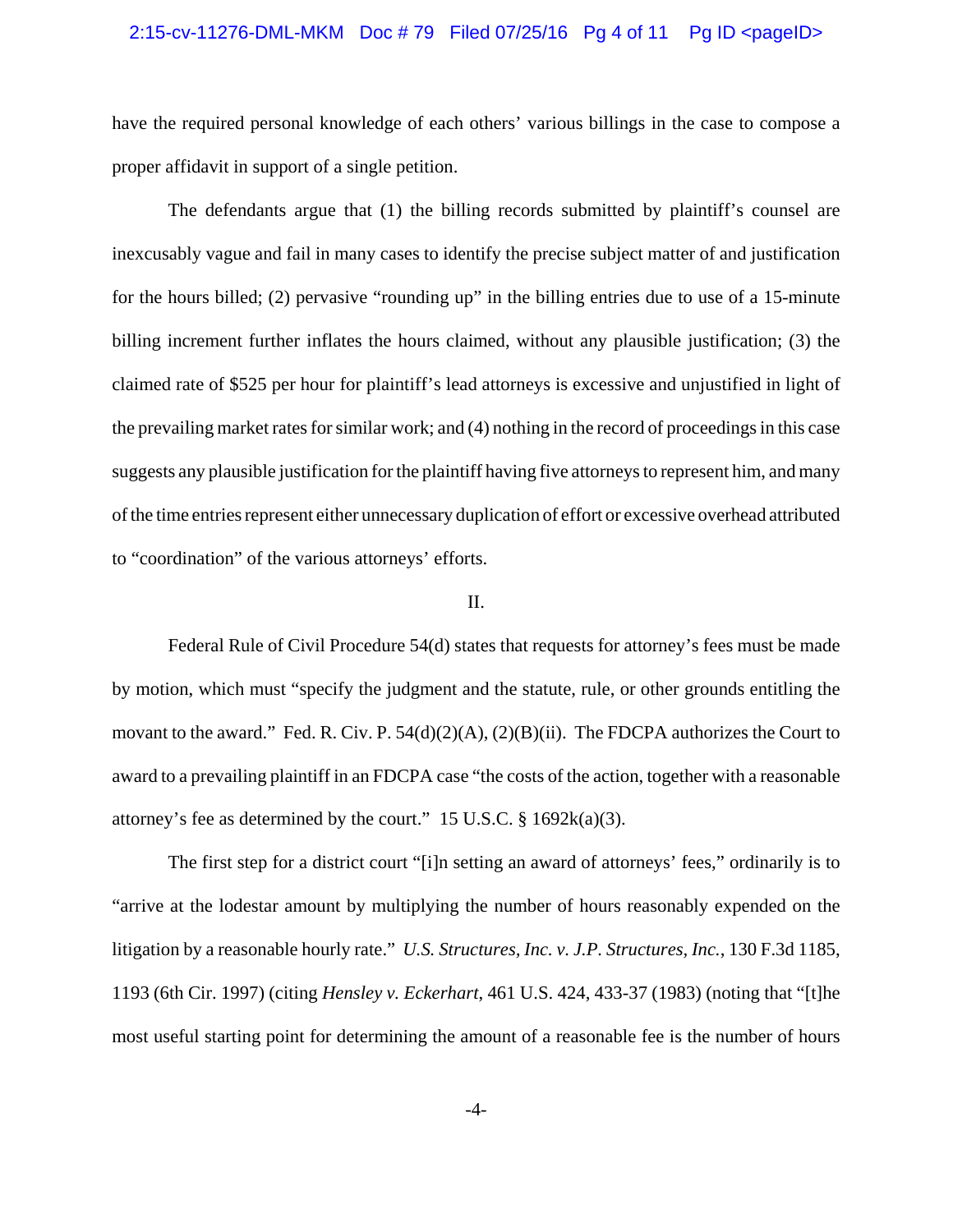#### 2:15-cv-11276-DML-MKM Doc #79 Filed 07/25/16 Pg 4 of 11 Pg ID <pageID>

have the required personal knowledge of each others' various billings in the case to compose a proper affidavit in support of a single petition.

The defendants argue that (1) the billing records submitted by plaintiff's counsel are inexcusably vague and fail in many cases to identify the precise subject matter of and justification for the hours billed; (2) pervasive "rounding up" in the billing entries due to use of a 15-minute billing increment further inflates the hours claimed, without any plausible justification; (3) the claimed rate of \$525 per hour for plaintiff's lead attorneys is excessive and unjustified in light of the prevailing market rates for similar work; and (4) nothing in the record of proceedings in this case suggests any plausible justification for the plaintiff having five attorneys to represent him, and many of the time entries represent either unnecessary duplication of effort or excessive overhead attributed to "coordination" of the various attorneys' efforts.

## II.

Federal Rule of Civil Procedure 54(d) states that requests for attorney's fees must be made by motion, which must "specify the judgment and the statute, rule, or other grounds entitling the movant to the award." Fed. R. Civ. P. 54(d)(2)(A), (2)(B)(ii). The FDCPA authorizes the Court to award to a prevailing plaintiff in an FDCPA case "the costs of the action, together with a reasonable attorney's fee as determined by the court." 15 U.S.C.  $\S$  1692k(a)(3).

The first step for a district court "[i]n setting an award of attorneys' fees," ordinarily is to "arrive at the lodestar amount by multiplying the number of hours reasonably expended on the litigation by a reasonable hourly rate." *U.S. Structures, Inc. v. J.P. Structures, Inc.*, 130 F.3d 1185, 1193 (6th Cir. 1997) (citing *Hensley v. Eckerhart*, 461 U.S. 424, 433-37 (1983) (noting that "[t]he most useful starting point for determining the amount of a reasonable fee is the number of hours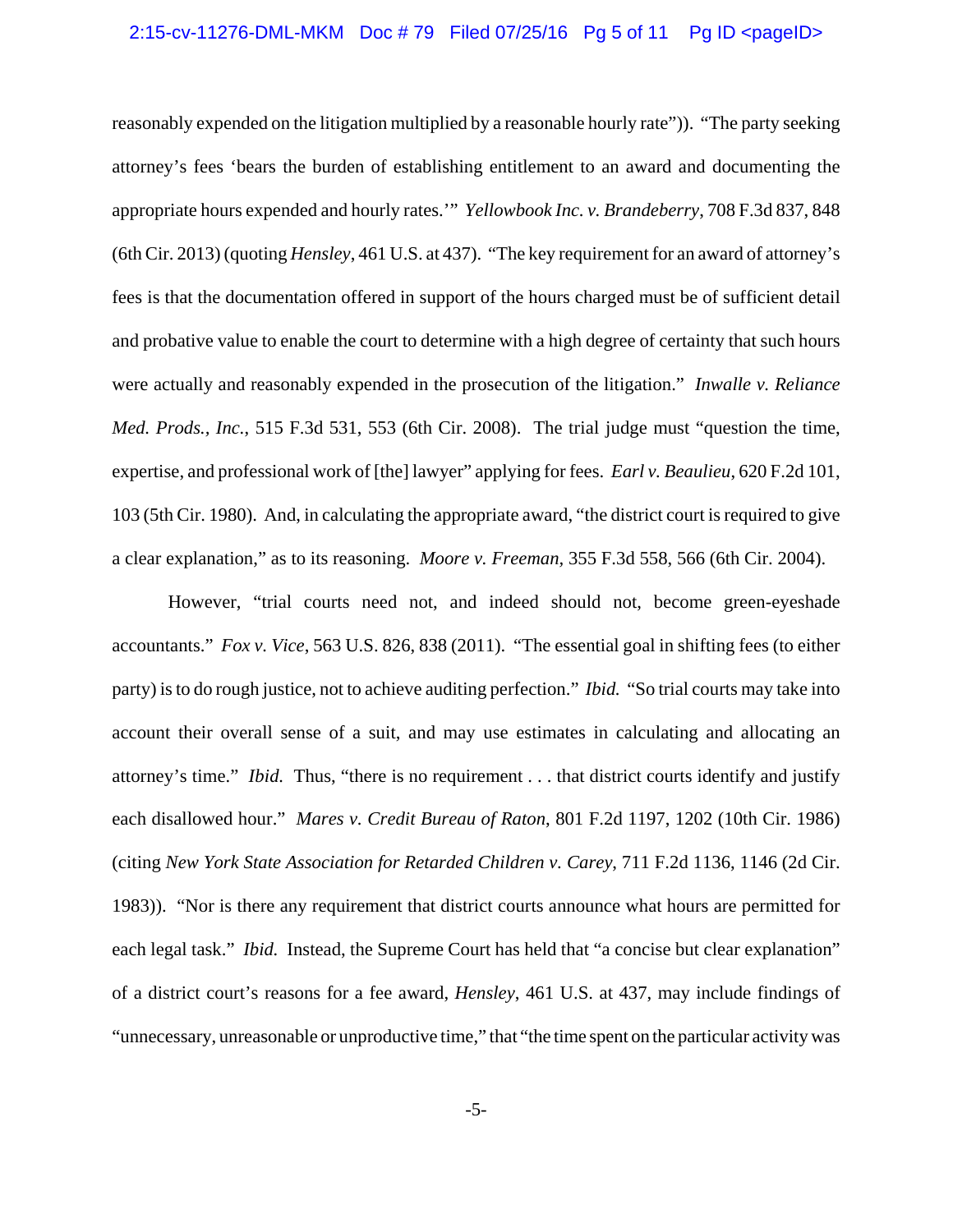### 2:15-cv-11276-DML-MKM Doc #79 Filed 07/25/16 Pg 5 of 11 Pg ID <pageID>

reasonably expended on the litigation multiplied by a reasonable hourly rate")). "The party seeking attorney's fees 'bears the burden of establishing entitlement to an award and documenting the appropriate hours expended and hourly rates.'" *Yellowbook Inc. v. Brandeberry*, 708 F.3d 837, 848 (6th Cir. 2013) (quoting *Hensley*, 461 U.S. at 437). "The key requirement for an award of attorney's fees is that the documentation offered in support of the hours charged must be of sufficient detail and probative value to enable the court to determine with a high degree of certainty that such hours were actually and reasonably expended in the prosecution of the litigation." *Inwalle v. Reliance Med. Prods., Inc.*, 515 F.3d 531, 553 (6th Cir. 2008). The trial judge must "question the time, expertise, and professional work of [the] lawyer" applying for fees. *Earl v. Beaulieu*, 620 F.2d 101, 103 (5th Cir. 1980). And, in calculating the appropriate award, "the district court is required to give a clear explanation," as to its reasoning. *Moore v. Freeman,* 355 F.3d 558, 566 (6th Cir. 2004).

However, "trial courts need not, and indeed should not, become green-eyeshade accountants." *Fox v. Vice*, 563 U.S. 826, 838 (2011). "The essential goal in shifting fees (to either party) is to do rough justice, not to achieve auditing perfection." *Ibid.* "So trial courts may take into account their overall sense of a suit, and may use estimates in calculating and allocating an attorney's time." *Ibid.* Thus, "there is no requirement . . . that district courts identify and justify each disallowed hour." *Mares v. Credit Bureau of Raton*, 801 F.2d 1197, 1202 (10th Cir. 1986) (citing *New York State Association for Retarded Children v. Carey*, 711 F.2d 1136, 1146 (2d Cir. 1983)). "Nor is there any requirement that district courts announce what hours are permitted for each legal task." *Ibid.* Instead, the Supreme Court has held that "a concise but clear explanation" of a district court's reasons for a fee award, *Hensley*, 461 U.S. at 437, may include findings of "unnecessary, unreasonable or unproductive time," that "the time spent on the particular activity was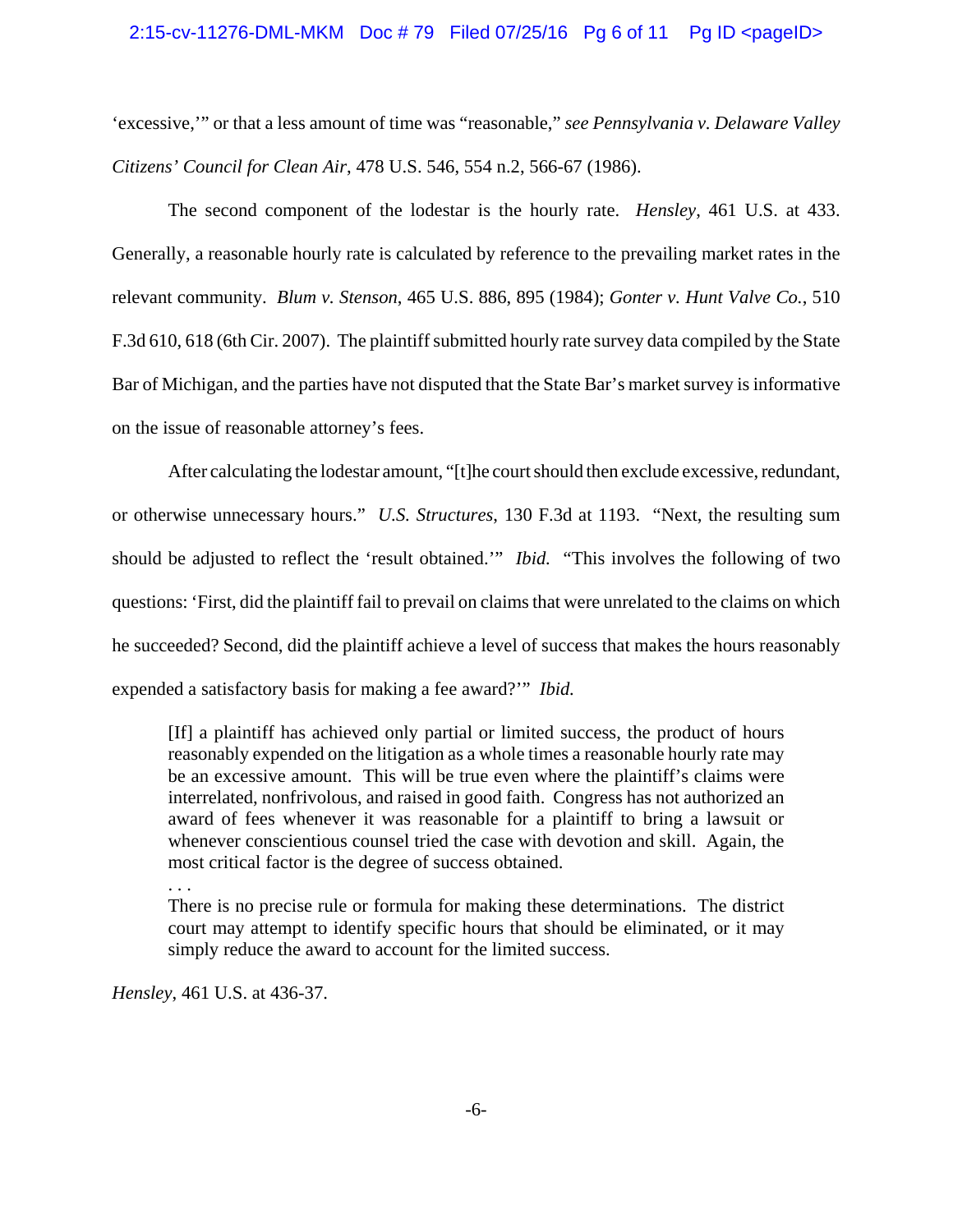### 2:15-cv-11276-DML-MKM Doc # 79 Filed 07/25/16 Pg 6 of 11 Pg ID <pageID>

'excessive,'" or that a less amount of time was "reasonable," *see Pennsylvania v. Delaware Valley Citizens' Council for Clean Air*, 478 U.S. 546, 554 n.2, 566-67 (1986).

The second component of the lodestar is the hourly rate. *Hensley*, 461 U.S. at 433. Generally, a reasonable hourly rate is calculated by reference to the prevailing market rates in the relevant community. *Blum v. Stenson*, 465 U.S. 886, 895 (1984); *Gonter v. Hunt Valve Co.*, 510 F.3d 610, 618 (6th Cir. 2007). The plaintiff submitted hourly rate survey data compiled by the State Bar of Michigan, and the parties have not disputed that the State Bar's market survey is informative on the issue of reasonable attorney's fees.

After calculating the lodestar amount, "[t]he court should then exclude excessive, redundant, or otherwise unnecessary hours." *U.S. Structures*, 130 F.3d at 1193. "Next, the resulting sum should be adjusted to reflect the 'result obtained.'" *Ibid.* "This involves the following of two questions: 'First, did the plaintiff fail to prevail on claims that were unrelated to the claims on which he succeeded? Second, did the plaintiff achieve a level of success that makes the hours reasonably expended a satisfactory basis for making a fee award?'" *Ibid.*

[If] a plaintiff has achieved only partial or limited success, the product of hours reasonably expended on the litigation as a whole times a reasonable hourly rate may be an excessive amount. This will be true even where the plaintiff's claims were interrelated, nonfrivolous, and raised in good faith. Congress has not authorized an award of fees whenever it was reasonable for a plaintiff to bring a lawsuit or whenever conscientious counsel tried the case with devotion and skill. Again, the most critical factor is the degree of success obtained.

. . .

There is no precise rule or formula for making these determinations. The district court may attempt to identify specific hours that should be eliminated, or it may simply reduce the award to account for the limited success.

*Hensley*, 461 U.S. at 436-37.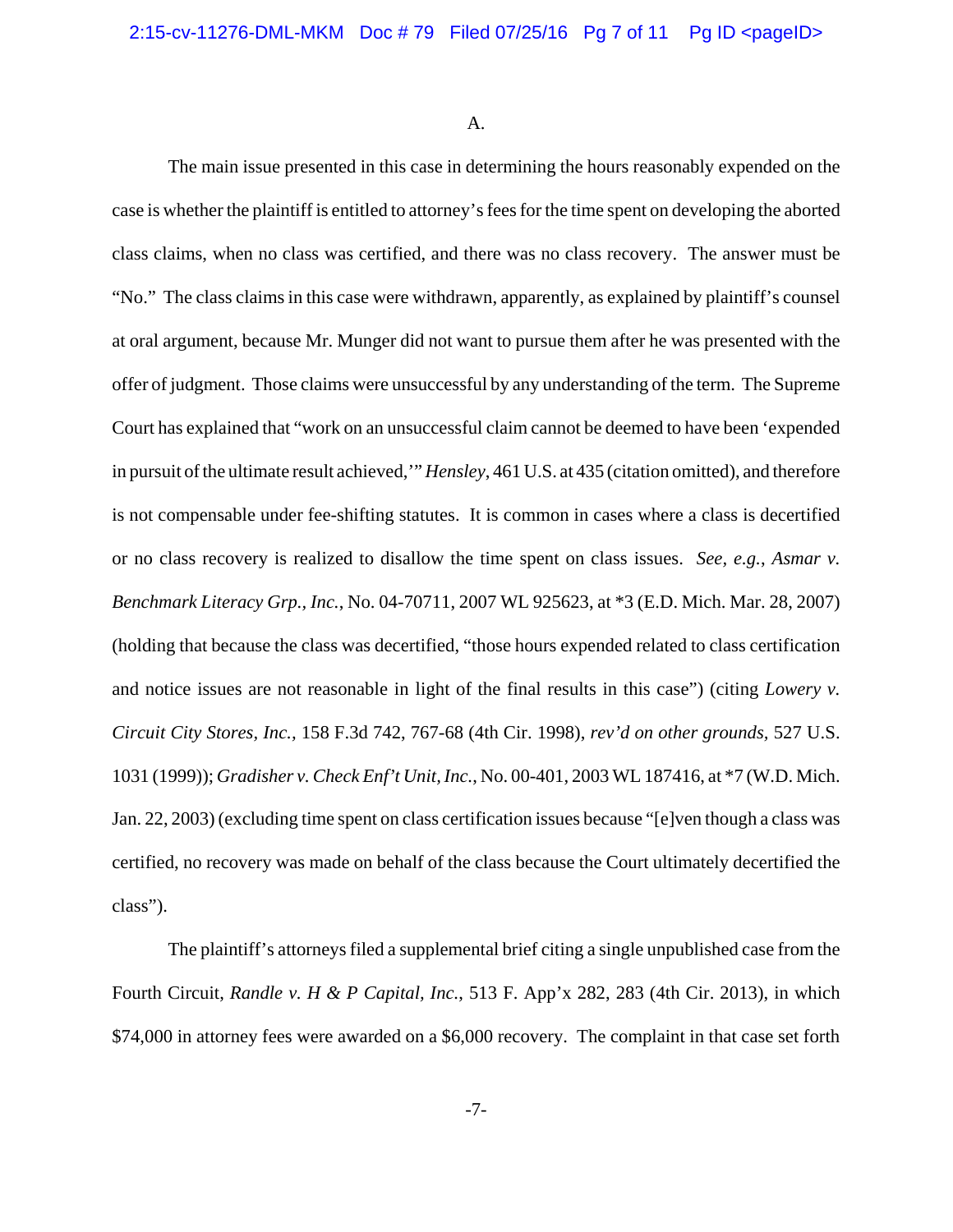A.

The main issue presented in this case in determining the hours reasonably expended on the case is whether the plaintiff is entitled to attorney's fees for the time spent on developing the aborted class claims, when no class was certified, and there was no class recovery. The answer must be "No." The class claims in this case were withdrawn, apparently, as explained by plaintiff's counsel at oral argument, because Mr. Munger did not want to pursue them after he was presented with the offer of judgment. Those claims were unsuccessful by any understanding of the term. The Supreme Court has explained that "work on an unsuccessful claim cannot be deemed to have been 'expended in pursuit of the ultimate result achieved,'" *Hensley*, 461 U.S. at 435 (citation omitted), and therefore is not compensable under fee-shifting statutes. It is common in cases where a class is decertified or no class recovery is realized to disallow the time spent on class issues. *See, e.g.*, *Asmar v. Benchmark Literacy Grp., Inc.*, No. 04-70711, 2007 WL 925623, at \*3 (E.D. Mich. Mar. 28, 2007) (holding that because the class was decertified, "those hours expended related to class certification and notice issues are not reasonable in light of the final results in this case") (citing *Lowery v. Circuit City Stores, Inc.,* 158 F.3d 742, 767-68 (4th Cir. 1998), *rev'd on other grounds,* 527 U.S. 1031 (1999)); *Gradisher v. Check Enf't Unit, Inc.*, No. 00-401, 2003 WL 187416, at \*7 (W.D. Mich. Jan. 22, 2003) (excluding time spent on class certification issues because "[e]ven though a class was certified, no recovery was made on behalf of the class because the Court ultimately decertified the class").

The plaintiff's attorneys filed a supplemental brief citing a single unpublished case from the Fourth Circuit, *Randle v. H & P Capital, Inc.*, 513 F. App'x 282, 283 (4th Cir. 2013), in which \$74,000 in attorney fees were awarded on a \$6,000 recovery. The complaint in that case set forth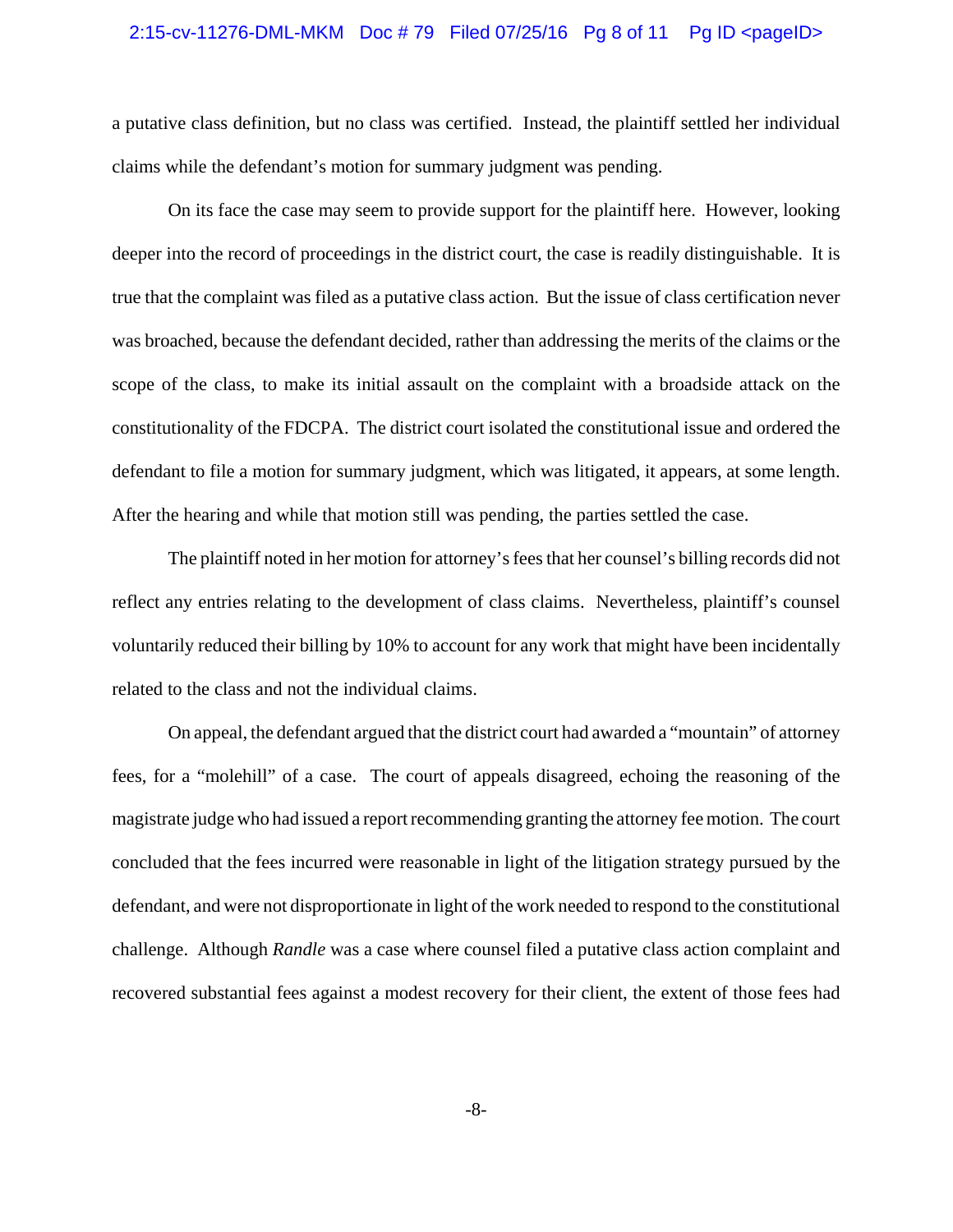#### 2:15-cv-11276-DML-MKM Doc # 79 Filed 07/25/16 Pg 8 of 11 Pg ID <pageID>

a putative class definition, but no class was certified. Instead, the plaintiff settled her individual claims while the defendant's motion for summary judgment was pending.

On its face the case may seem to provide support for the plaintiff here. However, looking deeper into the record of proceedings in the district court, the case is readily distinguishable. It is true that the complaint was filed as a putative class action. But the issue of class certification never was broached, because the defendant decided, rather than addressing the merits of the claims or the scope of the class, to make its initial assault on the complaint with a broadside attack on the constitutionality of the FDCPA. The district court isolated the constitutional issue and ordered the defendant to file a motion for summary judgment, which was litigated, it appears, at some length. After the hearing and while that motion still was pending, the parties settled the case.

The plaintiff noted in her motion for attorney's fees that her counsel's billing records did not reflect any entries relating to the development of class claims. Nevertheless, plaintiff's counsel voluntarily reduced their billing by 10% to account for any work that might have been incidentally related to the class and not the individual claims.

On appeal, the defendant argued that the district court had awarded a "mountain" of attorney fees, for a "molehill" of a case. The court of appeals disagreed, echoing the reasoning of the magistrate judge who had issued a report recommending granting the attorney fee motion. The court concluded that the fees incurred were reasonable in light of the litigation strategy pursued by the defendant, and were not disproportionate in light of the work needed to respond to the constitutional challenge. Although *Randle* was a case where counsel filed a putative class action complaint and recovered substantial fees against a modest recovery for their client, the extent of those fees had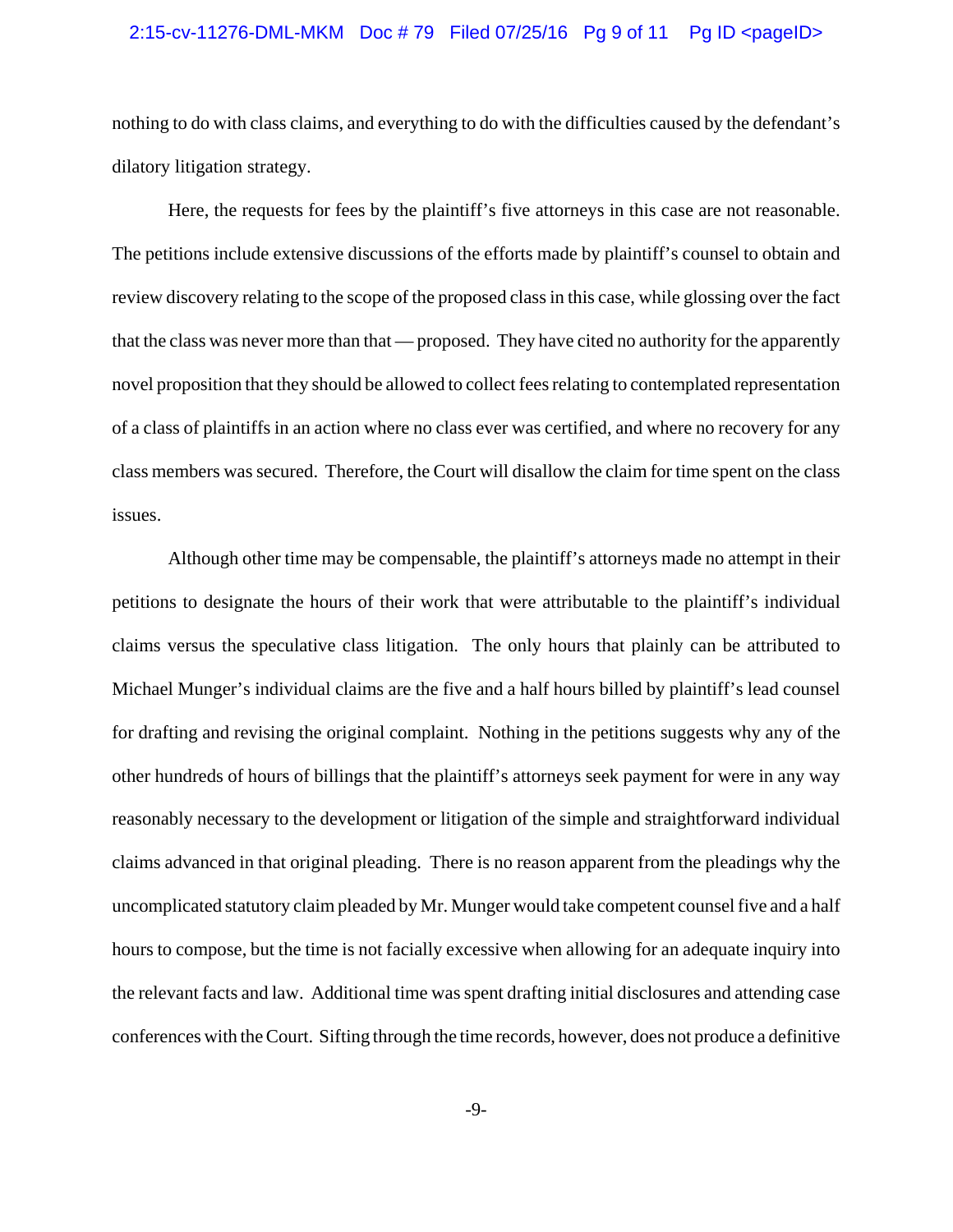#### 2:15-cv-11276-DML-MKM Doc #79 Filed 07/25/16 Pg 9 of 11 Pg ID <pageID>

nothing to do with class claims, and everything to do with the difficulties caused by the defendant's dilatory litigation strategy.

Here, the requests for fees by the plaintiff's five attorneys in this case are not reasonable. The petitions include extensive discussions of the efforts made by plaintiff's counsel to obtain and review discovery relating to the scope of the proposed class in this case, while glossing over the fact that the class was never more than that — proposed. They have cited no authority for the apparently novel proposition that they should be allowed to collect fees relating to contemplated representation of a class of plaintiffs in an action where no class ever was certified, and where no recovery for any class members was secured. Therefore, the Court will disallow the claim for time spent on the class issues.

Although other time may be compensable, the plaintiff's attorneys made no attempt in their petitions to designate the hours of their work that were attributable to the plaintiff's individual claims versus the speculative class litigation. The only hours that plainly can be attributed to Michael Munger's individual claims are the five and a half hours billed by plaintiff's lead counsel for drafting and revising the original complaint. Nothing in the petitions suggests why any of the other hundreds of hours of billings that the plaintiff's attorneys seek payment for were in any way reasonably necessary to the development or litigation of the simple and straightforward individual claims advanced in that original pleading. There is no reason apparent from the pleadings why the uncomplicated statutory claim pleaded by Mr. Munger would take competent counsel five and a half hours to compose, but the time is not facially excessive when allowing for an adequate inquiry into the relevant facts and law. Additional time was spent drafting initial disclosures and attending case conferences with the Court. Sifting through the time records, however, does not produce a definitive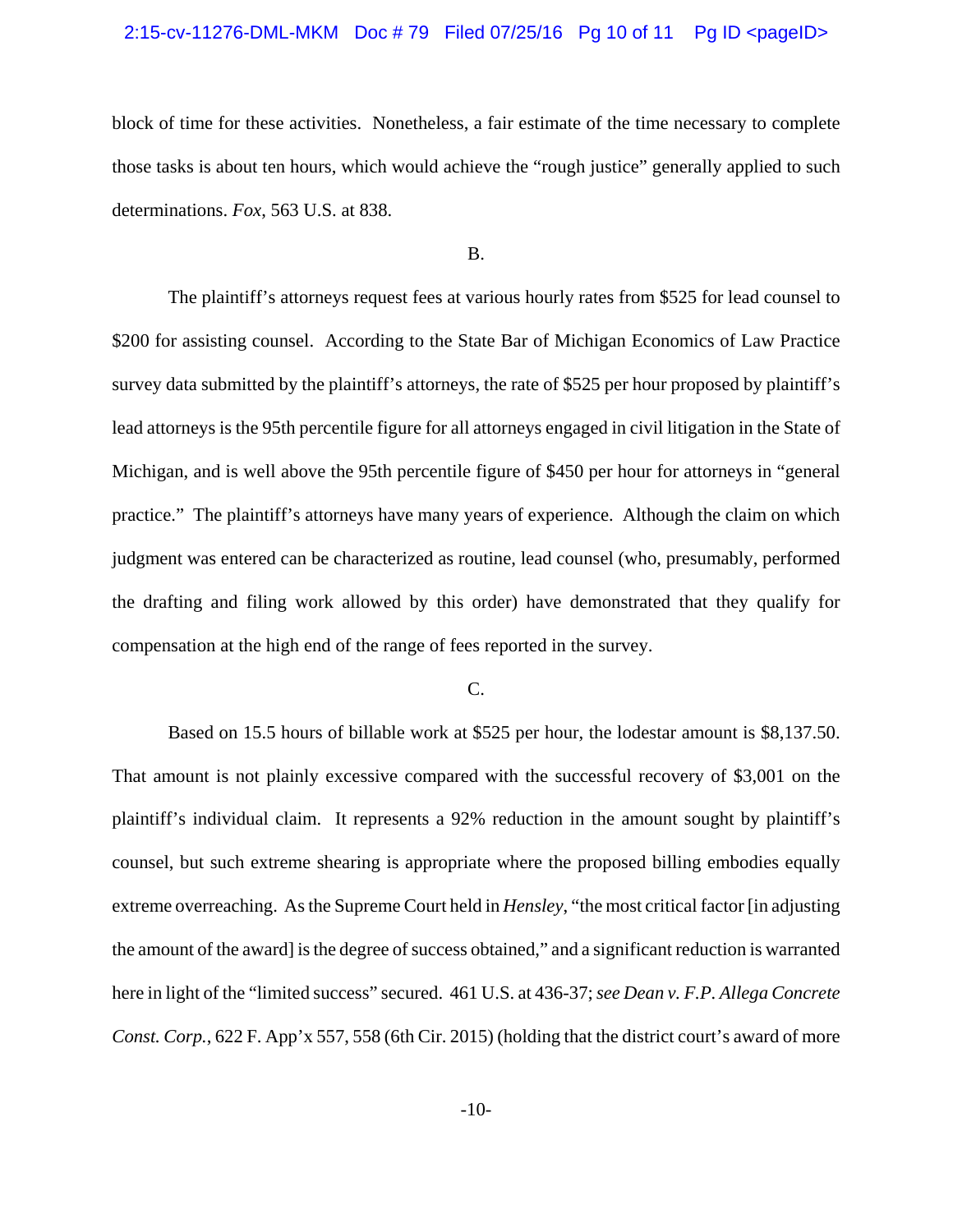#### 2:15-cv-11276-DML-MKM Doc # 79 Filed 07/25/16 Pg 10 of 11 Pg ID <pageID>

block of time for these activities. Nonetheless, a fair estimate of the time necessary to complete those tasks is about ten hours, which would achieve the "rough justice" generally applied to such determinations. *Fox*, 563 U.S. at 838.

B.

The plaintiff's attorneys request fees at various hourly rates from \$525 for lead counsel to \$200 for assisting counsel. According to the State Bar of Michigan Economics of Law Practice survey data submitted by the plaintiff's attorneys, the rate of \$525 per hour proposed by plaintiff's lead attorneys is the 95th percentile figure for all attorneys engaged in civil litigation in the State of Michigan, and is well above the 95th percentile figure of \$450 per hour for attorneys in "general practice." The plaintiff's attorneys have many years of experience. Although the claim on which judgment was entered can be characterized as routine, lead counsel (who, presumably, performed the drafting and filing work allowed by this order) have demonstrated that they qualify for compensation at the high end of the range of fees reported in the survey.

### C.

Based on 15.5 hours of billable work at \$525 per hour, the lodestar amount is \$8,137.50. That amount is not plainly excessive compared with the successful recovery of \$3,001 on the plaintiff's individual claim. It represents a 92% reduction in the amount sought by plaintiff's counsel, but such extreme shearing is appropriate where the proposed billing embodies equally extreme overreaching. As the Supreme Court held in *Hensley*, "the most critical factor [in adjusting the amount of the award] is the degree of success obtained," and a significant reduction is warranted here in light of the "limited success" secured. 461 U.S. at 436-37; *see Dean v. F.P. Allega Concrete Const. Corp.*, 622 F. App'x 557, 558 (6th Cir. 2015) (holding that the district court's award of more